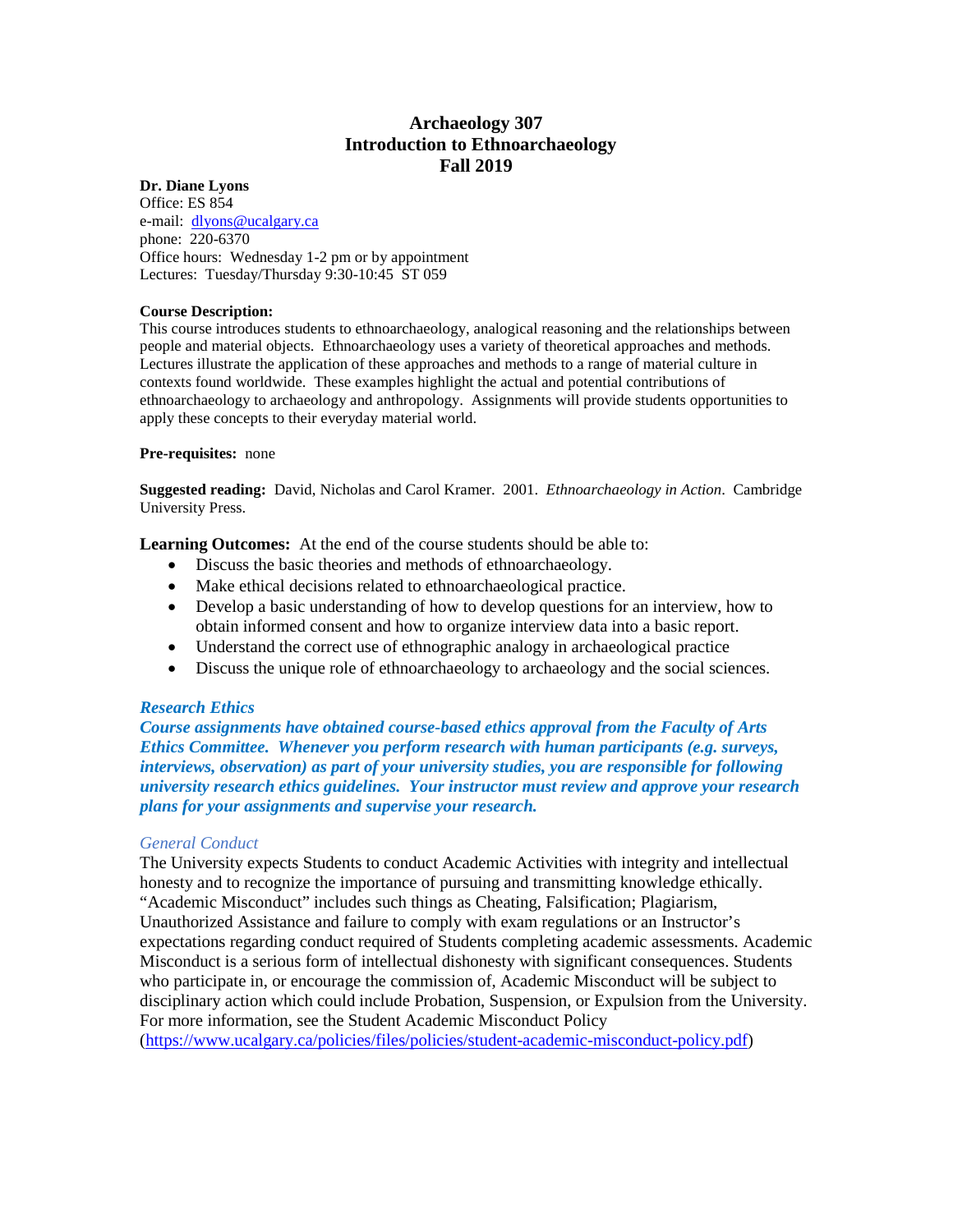# **Archaeology 307 Introduction to Ethnoarchaeology Fall 2019**

### **Dr. Diane Lyons**

Office: ES 854 e-mail: [dlyons@ucalgary.ca](mailto:dlyons@ucalgary.ca) phone: 220-6370 Office hours: Wednesday 1-2 pm or by appointment Lectures: Tuesday/Thursday 9:30-10:45 ST 059

### **Course Description:**

This course introduces students to ethnoarchaeology, analogical reasoning and the relationships between people and material objects. Ethnoarchaeology uses a variety of theoretical approaches and methods. Lectures illustrate the application of these approaches and methods to a range of material culture in contexts found worldwide. These examples highlight the actual and potential contributions of ethnoarchaeology to archaeology and anthropology. Assignments will provide students opportunities to apply these concepts to their everyday material world.

### **Pre-requisites:** none

**Suggested reading:** David, Nicholas and Carol Kramer. 2001. *Ethnoarchaeology in Action*. Cambridge University Press.

**Learning Outcomes:** At the end of the course students should be able to:

- Discuss the basic theories and methods of ethnoarchaeology.
- Make ethical decisions related to ethnoarchaeological practice.
- Develop a basic understanding of how to develop questions for an interview, how to obtain informed consent and how to organize interview data into a basic report.
- Understand the correct use of ethnographic analogy in archaeological practice
- Discuss the unique role of ethnoarchaeology to archaeology and the social sciences.

### *Research Ethics*

*Course assignments have obtained course-based ethics approval from the Faculty of Arts Ethics Committee. Whenever you perform research with human participants (e.g. surveys, interviews, observation) as part of your university studies, you are responsible for following university research ethics guidelines. Your instructor must review and approve your research plans for your assignments and supervise your research.*

### *General Conduct*

The University expects Students to conduct Academic Activities with integrity and intellectual honesty and to recognize the importance of pursuing and transmitting knowledge ethically. "Academic Misconduct" includes such things as Cheating, Falsification; Plagiarism, Unauthorized Assistance and failure to comply with exam regulations or an Instructor's expectations regarding conduct required of Students completing academic assessments. Academic Misconduct is a serious form of intellectual dishonesty with significant consequences. Students who participate in, or encourage the commission of, Academic Misconduct will be subject to disciplinary action which could include Probation, Suspension, or Expulsion from the University. For more information, see the Student Academic Misconduct Policy [\(https://www.ucalgary.ca/policies/files/policies/student-academic-misconduct-policy.pdf\)](https://www.ucalgary.ca/policies/files/policies/student-academic-misconduct-policy.pdf)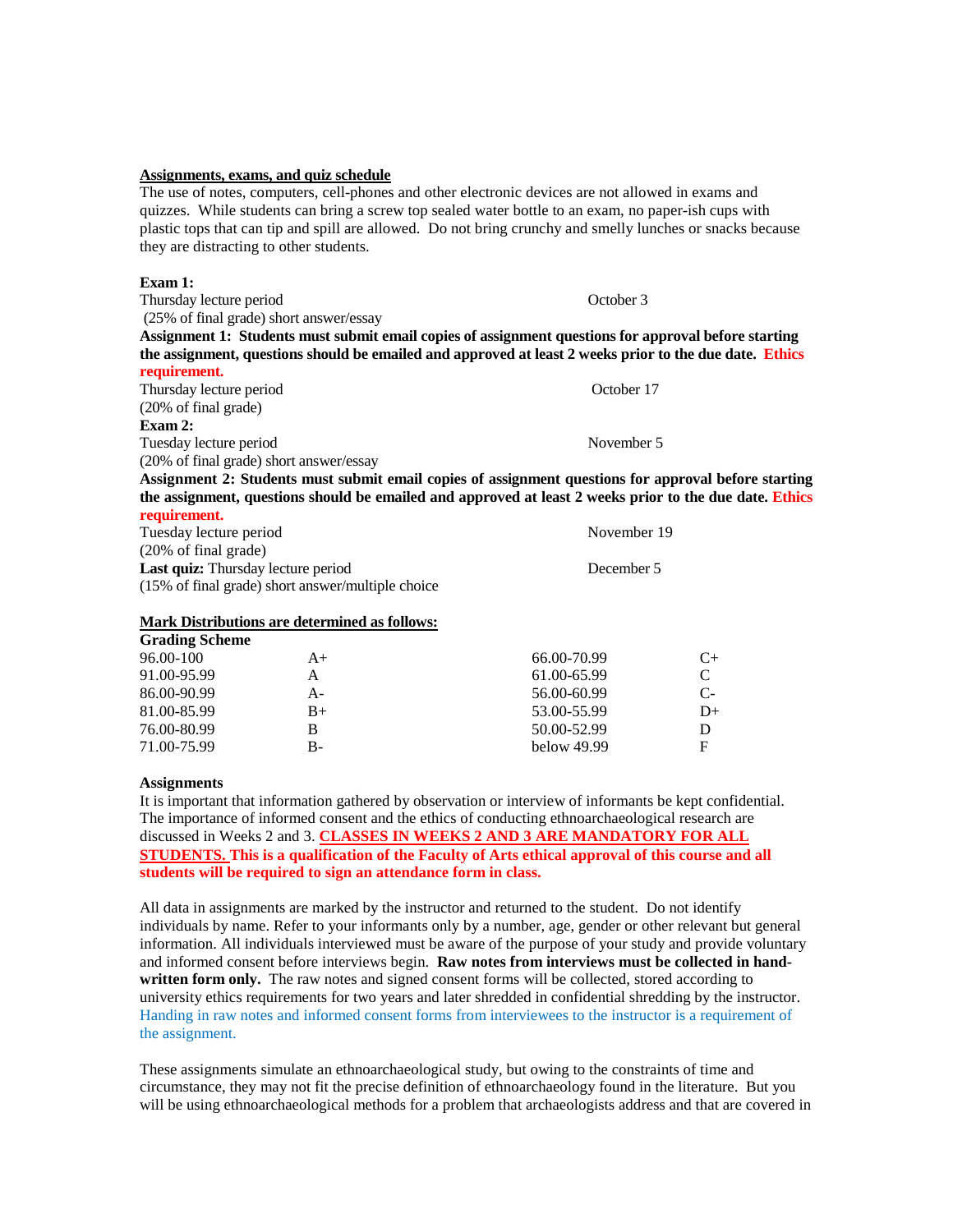#### **Assignments, exams, and quiz schedule**

The use of notes, computers, cell-phones and other electronic devices are not allowed in exams and quizzes. While students can bring a screw top sealed water bottle to an exam, no paper-ish cups with plastic tops that can tip and spill are allowed. Do not bring crunchy and smelly lunches or snacks because they are distracting to other students.

#### **Exam 1:**

Thursday lecture period October 3 (25% of final grade) short answer/essay **Assignment 1: Students must submit email copies of assignment questions for approval before starting the assignment, questions should be emailed and approved at least 2 weeks prior to the due date. Ethics requirement.** Thursday lecture period October 17 (20% of final grade) **Exam 2:**  Tuesday lecture period November 5 (20% of final grade) short answer/essay **Assignment 2: Students must submit email copies of assignment questions for approval before starting the assignment, questions should be emailed and approved at least 2 weeks prior to the due date. Ethics** 

#### **requirement.**

Tuesday lecture period November 19 (20% of final grade) Last quiz: Thursday lecture period December 5 (15% of final grade) short answer/multiple choice

### **Mark Distributions are determined as follows:**

| $A+$ | 66.00-70.99   | $C_{\pm}$ |
|------|---------------|-----------|
| А    | 61.00-65.99   |           |
| А-   | 56.00-60.99   | $C-$      |
| $B+$ | 53.00-55.99   | $D+$      |
| В    | 50.00-52.99   |           |
| В-   | below $49.99$ | F         |
|      |               |           |

#### **Assignments**

It is important that information gathered by observation or interview of informants be kept confidential. The importance of informed consent and the ethics of conducting ethnoarchaeological research are discussed in Weeks 2 and 3. **CLASSES IN WEEKS 2 AND 3 ARE MANDATORY FOR ALL STUDENTS.** This is a qualification of the Faculty of Arts ethical approval of this course and all **students will be required to sign an attendance form in class.**

All data in assignments are marked by the instructor and returned to the student. Do not identify individuals by name. Refer to your informants only by a number, age, gender or other relevant but general information. All individuals interviewed must be aware of the purpose of your study and provide voluntary and informed consent before interviews begin. **Raw notes from interviews must be collected in handwritten form only.** The raw notes and signed consent forms will be collected, stored according to university ethics requirements for two years and later shredded in confidential shredding by the instructor. Handing in raw notes and informed consent forms from interviewees to the instructor is a requirement of the assignment.

These assignments simulate an ethnoarchaeological study, but owing to the constraints of time and circumstance, they may not fit the precise definition of ethnoarchaeology found in the literature. But you will be using ethnoarchaeological methods for a problem that archaeologists address and that are covered in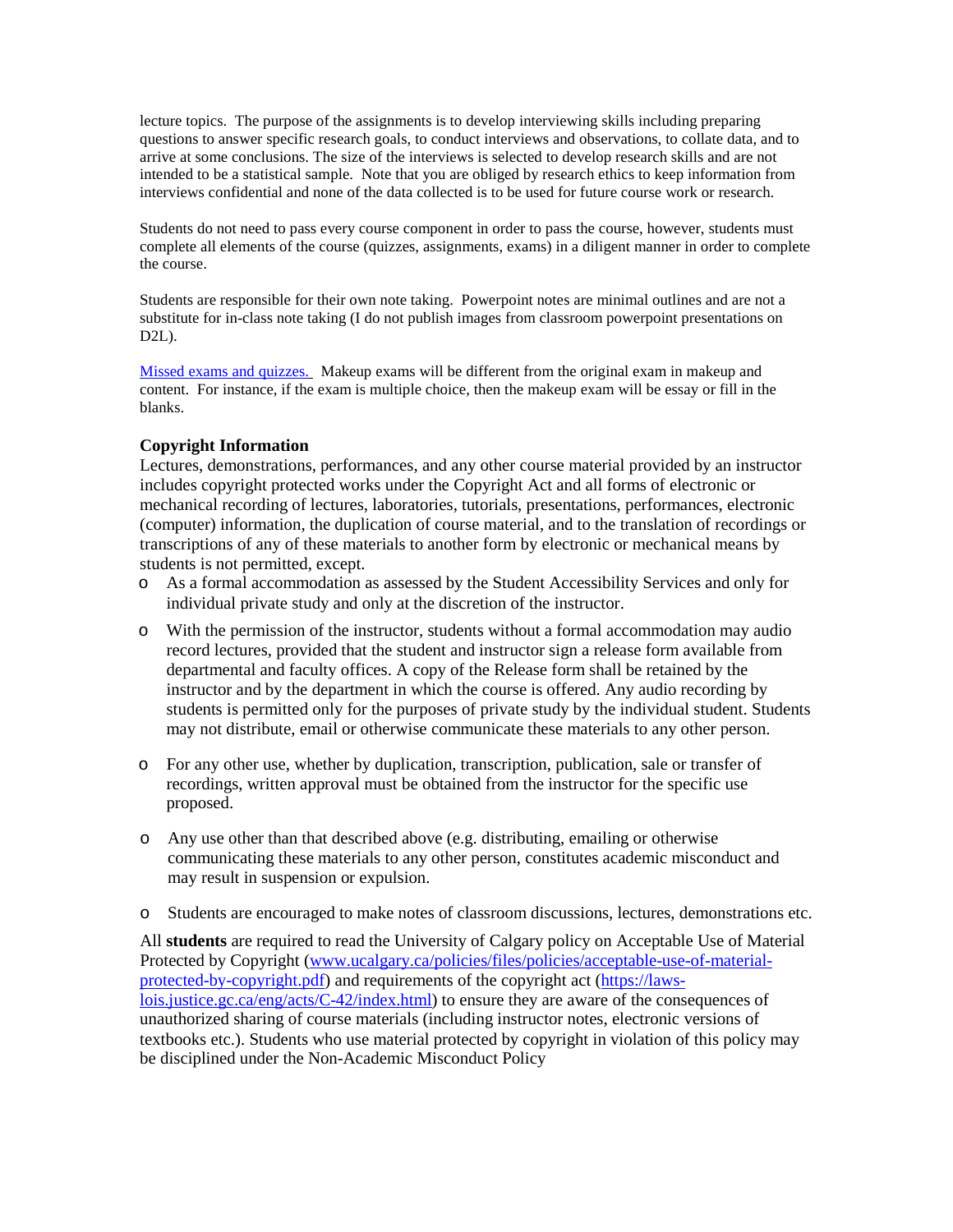lecture topics. The purpose of the assignments is to develop interviewing skills including preparing questions to answer specific research goals, to conduct interviews and observations, to collate data, and to arrive at some conclusions. The size of the interviews is selected to develop research skills and are not intended to be a statistical sample. Note that you are obliged by research ethics to keep information from interviews confidential and none of the data collected is to be used for future course work or research.

Students do not need to pass every course component in order to pass the course, however, students must complete all elements of the course (quizzes, assignments, exams) in a diligent manner in order to complete the course.

Students are responsible for their own note taking. Powerpoint notes are minimal outlines and are not a substitute for in-class note taking (I do not publish images from classroom powerpoint presentations on D2L).

Missed exams and quizzes. Makeup exams will be different from the original exam in makeup and content. For instance, if the exam is multiple choice, then the makeup exam will be essay or fill in the blanks.

## **Copyright Information**

Lectures, demonstrations, performances, and any other course material provided by an instructor includes copyright protected works under the Copyright Act and all forms of electronic or mechanical recording of lectures, laboratories, tutorials, presentations, performances, electronic (computer) information, the duplication of course material, and to the translation of recordings or transcriptions of any of these materials to another form by electronic or mechanical means by students is not permitted, except.

- o As a formal accommodation as assessed by the Student Accessibility Services and only for individual private study and only at the discretion of the instructor.
- o With the permission of the instructor, students without a formal accommodation may audio record lectures, provided that the student and instructor sign a release form available from departmental and faculty offices. A copy of the Release form shall be retained by the instructor and by the department in which the course is offered. Any audio recording by students is permitted only for the purposes of private study by the individual student. Students may not distribute, email or otherwise communicate these materials to any other person.
- o For any other use, whether by duplication, transcription, publication, sale or transfer of recordings, written approval must be obtained from the instructor for the specific use proposed.
- o Any use other than that described above (e.g. distributing, emailing or otherwise communicating these materials to any other person, constitutes academic misconduct and may result in suspension or expulsion.
- o Students are encouraged to make notes of classroom discussions, lectures, demonstrations etc.

All **students** are required to read the University of Calgary policy on Acceptable Use of Material Protected by Copyright [\(www.ucalgary.ca/policies/files/policies/acceptable-use-of-material](http://www.ucalgary.ca/policies/files/policies/acceptable-use-of-material-protected-by-copyright.pdf)[protected-by-copyright.pdf\)](http://www.ucalgary.ca/policies/files/policies/acceptable-use-of-material-protected-by-copyright.pdf) and requirements of the copyright act [\(https://laws](https://laws-lois.justice.gc.ca/eng/acts/C-42/index.html)[lois.justice.gc.ca/eng/acts/C-42/index.html\)](https://laws-lois.justice.gc.ca/eng/acts/C-42/index.html) to ensure they are aware of the consequences of unauthorized sharing of course materials (including instructor notes, electronic versions of textbooks etc.). Students who use material protected by copyright in violation of this policy may be disciplined under the Non-Academic Misconduct Policy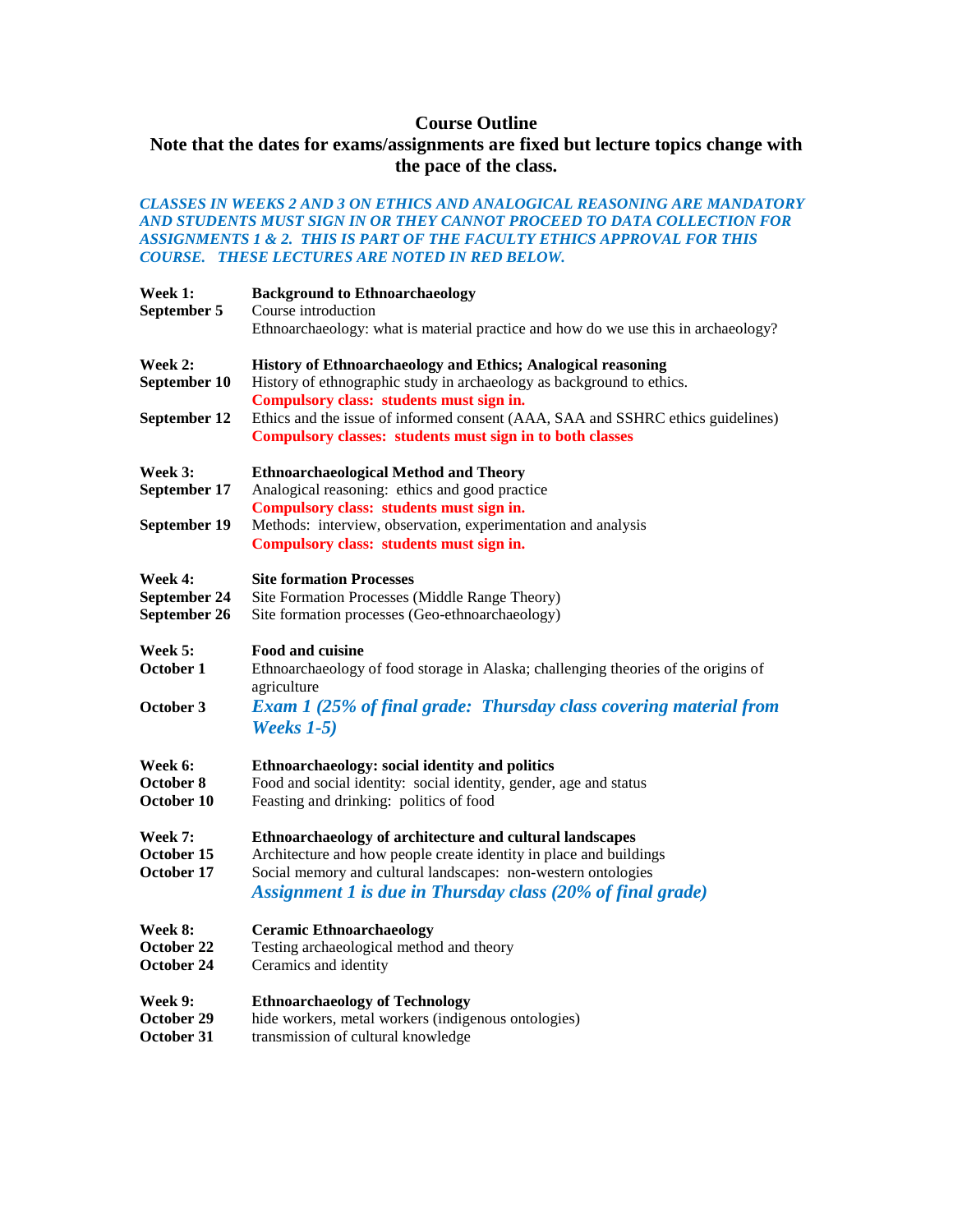# **Course Outline**

# **Note that the dates for exams/assignments are fixed but lecture topics change with the pace of the class.**

### *CLASSES IN WEEKS 2 AND 3 ON ETHICS AND ANALOGICAL REASONING ARE MANDATORY AND STUDENTS MUST SIGN IN OR THEY CANNOT PROCEED TO DATA COLLECTION FOR ASSIGNMENTS 1 & 2. THIS IS PART OF THE FACULTY ETHICS APPROVAL FOR THIS COURSE. THESE LECTURES ARE NOTED IN RED BELOW.*

| Week 1:<br>September 5                  | <b>Background to Ethnoarchaeology</b><br>Course introduction<br>Ethnoarchaeology: what is material practice and how do we use this in archaeology?                                                                                                            |
|-----------------------------------------|---------------------------------------------------------------------------------------------------------------------------------------------------------------------------------------------------------------------------------------------------------------|
| Week 2:<br>September 10<br>September 12 | History of Ethnoarchaeology and Ethics; Analogical reasoning<br>History of ethnographic study in archaeology as background to ethics.<br>Compulsory class: students must sign in.                                                                             |
|                                         | Ethics and the issue of informed consent (AAA, SAA and SSHRC ethics guidelines)<br>Compulsory classes: students must sign in to both classes                                                                                                                  |
| Week 3:<br>September 17<br>September 19 | <b>Ethnoarchaeological Method and Theory</b><br>Analogical reasoning: ethics and good practice<br>Compulsory class: students must sign in.<br>Methods: interview, observation, experimentation and analysis<br>Compulsory class: students must sign in.       |
| Week 4:<br>September 24<br>September 26 | <b>Site formation Processes</b><br>Site Formation Processes (Middle Range Theory)<br>Site formation processes (Geo-ethnoarchaeology)                                                                                                                          |
| Week 5:<br>October 1                    | <b>Food and cuisine</b><br>Ethnoarchaeology of food storage in Alaska; challenging theories of the origins of<br>agriculture                                                                                                                                  |
| October 3                               | <b>Exam 1 (25% of final grade: Thursday class covering material from</b><br>Weeks $1-5$ )                                                                                                                                                                     |
| Week 6:<br>October 8<br>October 10      | Ethnoarchaeology: social identity and politics<br>Food and social identity: social identity, gender, age and status<br>Feasting and drinking: politics of food                                                                                                |
| Week 7:<br>October 15<br>October 17     | Ethnoarchaeology of architecture and cultural landscapes<br>Architecture and how people create identity in place and buildings<br>Social memory and cultural landscapes: non-western ontologies<br>Assignment 1 is due in Thursday class (20% of final grade) |
| Week 8:<br>October 22<br>October 24     | <b>Ceramic Ethnoarchaeology</b><br>Testing archaeological method and theory<br>Ceramics and identity                                                                                                                                                          |
| Week 9:<br>October 29<br>October 31     | <b>Ethnoarchaeology of Technology</b><br>hide workers, metal workers (indigenous ontologies)<br>transmission of cultural knowledge                                                                                                                            |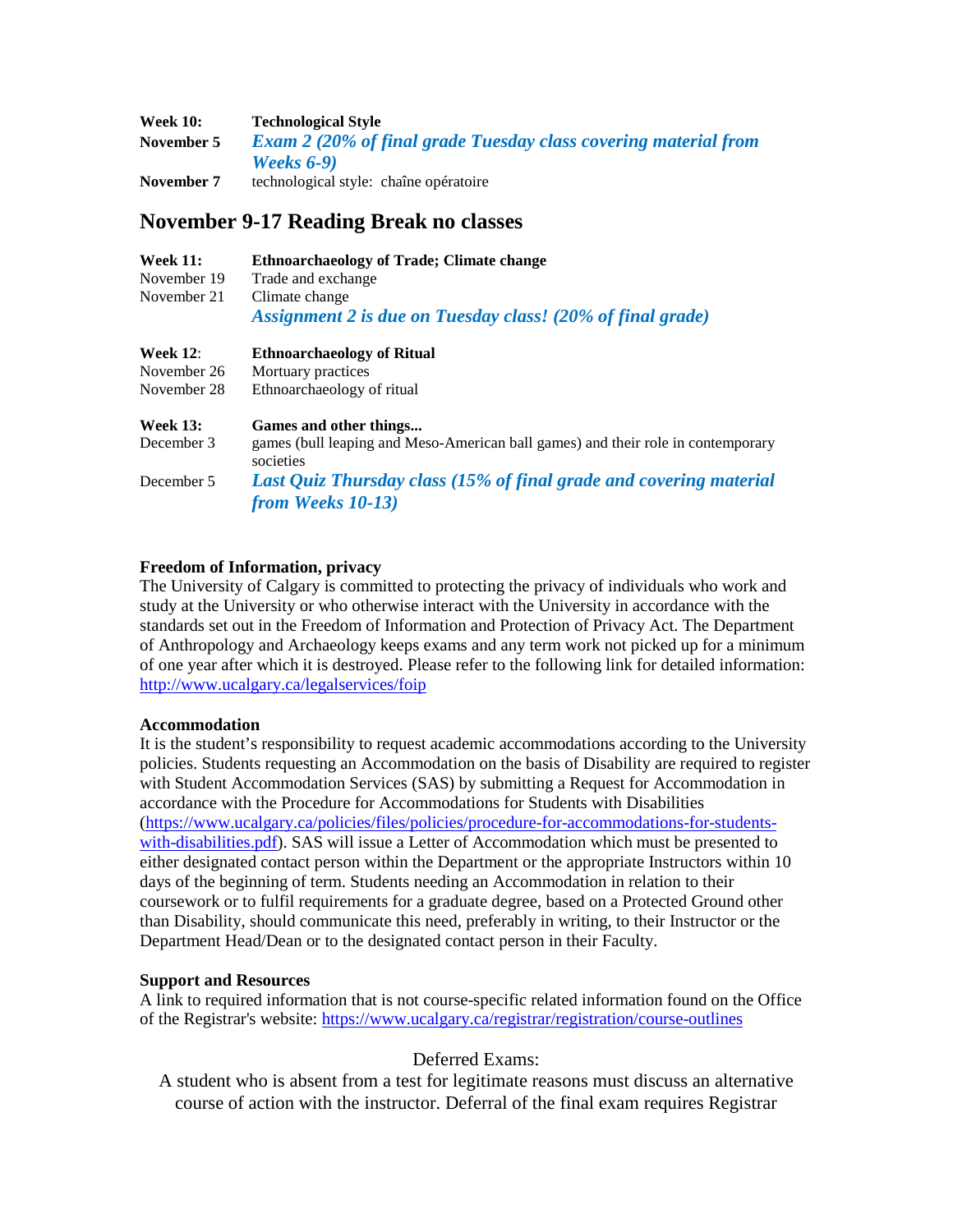| <b>Week 10:</b> | <b>Technological Style</b>                                             |
|-----------------|------------------------------------------------------------------------|
| November 5      | <b>Exam 2 (20% of final grade Tuesday class covering material from</b> |
|                 | <b>Weeks 6-9)</b>                                                      |
| November 7      | technological style: chaîne opératoire                                 |

# **November 9-17 Reading Break no classes**

| <b>Week 11:</b>           | <b>Ethnoarchaeology of Trade: Climate change</b>                             |
|---------------------------|------------------------------------------------------------------------------|
| November 19               | Trade and exchange                                                           |
| November 21               | Climate change<br>Assignment 2 is due on Tuesday class! (20% of final grade) |
| $W_{\alpha\alpha}$ l. 19. | Filmooyahooologu of Ditual                                                   |

| $V$ veer 12.    | EUIII0al Chaeology of Kitual                                                                  |
|-----------------|-----------------------------------------------------------------------------------------------|
| November 26     | Mortuary practices                                                                            |
| November 28     | Ethnoarchaeology of ritual                                                                    |
| <b>Week 13:</b> | Games and other things                                                                        |
| December 3      | games (bull leaping and Meso-American ball games) and their role in contemporary<br>societies |
| December 5      | Last Quiz Thursday class (15% of final grade and covering material                            |
|                 | from Weeks 10-13)                                                                             |

## **Freedom of Information, privacy**

The University of Calgary is committed to protecting the privacy of individuals who work and study at the University or who otherwise interact with the University in accordance with the standards set out in the Freedom of Information and Protection of Privacy Act. The Department of Anthropology and Archaeology keeps exams and any term work not picked up for a minimum of one year after which it is destroyed. Please refer to the following link for detailed information: <http://www.ucalgary.ca/legalservices/foip>

## **Accommodation**

It is the student's responsibility to request academic accommodations according to the University policies. Students requesting an Accommodation on the basis of Disability are required to register with Student Accommodation Services (SAS) by submitting a Request for Accommodation in accordance with the Procedure for Accommodations for Students with Disabilities [\(https://www.ucalgary.ca/policies/files/policies/procedure-for-accommodations-for-students](https://www.ucalgary.ca/policies/files/policies/procedure-for-accommodations-for-students-with-disabilities.pdf)[with-disabilities.pdf\)](https://www.ucalgary.ca/policies/files/policies/procedure-for-accommodations-for-students-with-disabilities.pdf). SAS will issue a Letter of Accommodation which must be presented to either designated contact person within the Department or the appropriate Instructors within 10 days of the beginning of term. Students needing an Accommodation in relation to their coursework or to fulfil requirements for a graduate degree, based on a Protected Ground other than Disability, should communicate this need, preferably in writing, to their Instructor or the Department Head/Dean or to the designated contact person in their Faculty.

## **Support and Resources**

A link to required information that is not course-specific related information found on the Office of the Registrar's website[: https://www.ucalgary.ca/registrar/registration/course-outlines](https://www.ucalgary.ca/registrar/registration/course-outlines)

# Deferred Exams:

A student who is absent from a test for legitimate reasons must discuss an alternative course of action with the instructor. Deferral of the final exam requires Registrar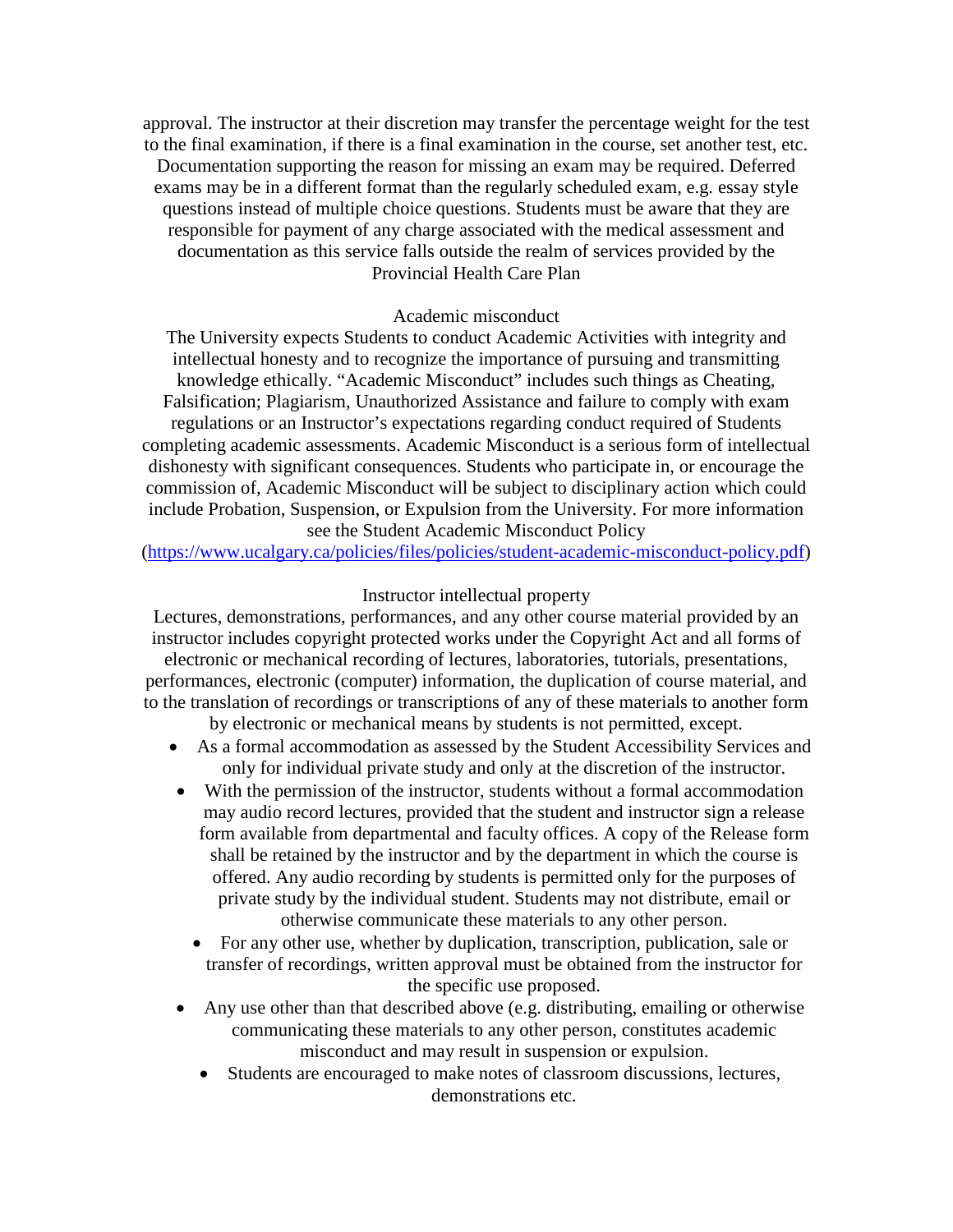approval. The instructor at their discretion may transfer the percentage weight for the test to the final examination, if there is a final examination in the course, set another test, etc. Documentation supporting the reason for missing an exam may be required. Deferred exams may be in a different format than the regularly scheduled exam, e.g. essay style questions instead of multiple choice questions. Students must be aware that they are responsible for payment of any charge associated with the medical assessment and documentation as this service falls outside the realm of services provided by the Provincial Health Care Plan

## Academic misconduct

The University expects Students to conduct Academic Activities with integrity and intellectual honesty and to recognize the importance of pursuing and transmitting knowledge ethically. "Academic Misconduct" includes such things as Cheating, Falsification; Plagiarism, Unauthorized Assistance and failure to comply with exam regulations or an Instructor's expectations regarding conduct required of Students completing academic assessments. Academic Misconduct is a serious form of intellectual dishonesty with significant consequences. Students who participate in, or encourage the commission of, Academic Misconduct will be subject to disciplinary action which could include Probation, Suspension, or Expulsion from the University. For more information see the Student Academic Misconduct Policy

[\(https://www.ucalgary.ca/policies/files/policies/student-academic-misconduct-policy.pdf\)](https://www.ucalgary.ca/policies/files/policies/student-academic-misconduct-policy.pdf)

## Instructor intellectual property

Lectures, demonstrations, performances, and any other course material provided by an instructor includes copyright protected works under the Copyright Act and all forms of electronic or mechanical recording of lectures, laboratories, tutorials, presentations,

performances, electronic (computer) information, the duplication of course material, and to the translation of recordings or transcriptions of any of these materials to another form

by electronic or mechanical means by students is not permitted, except.

- As a formal accommodation as assessed by the Student Accessibility Services and only for individual private study and only at the discretion of the instructor.
- With the permission of the instructor, students without a formal accommodation may audio record lectures, provided that the student and instructor sign a release form available from departmental and faculty offices. A copy of the Release form shall be retained by the instructor and by the department in which the course is offered. Any audio recording by students is permitted only for the purposes of private study by the individual student. Students may not distribute, email or otherwise communicate these materials to any other person.
	- For any other use, whether by duplication, transcription, publication, sale or transfer of recordings, written approval must be obtained from the instructor for the specific use proposed.
- Any use other than that described above (e.g. distributing, emailing or otherwise communicating these materials to any other person, constitutes academic misconduct and may result in suspension or expulsion.
	- Students are encouraged to make notes of classroom discussions, lectures, demonstrations etc.